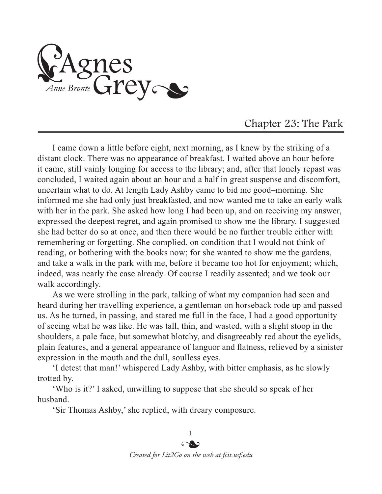Agnes<br>Anne Bronte Grey

## Chapter 23: The Park

I came down a little before eight, next morning, as I knew by the striking of a distant clock. There was no appearance of breakfast. I waited above an hour before it came, still vainly longing for access to the library; and, after that lonely repast was concluded, I waited again about an hour and a half in great suspense and discomfort, uncertain what to do. At length Lady Ashby came to bid me good–morning. She informed me she had only just breakfasted, and now wanted me to take an early walk with her in the park. She asked how long I had been up, and on receiving my answer, expressed the deepest regret, and again promised to show me the library. I suggested she had better do so at once, and then there would be no further trouble either with remembering or forgetting. She complied, on condition that I would not think of reading, or bothering with the books now; for she wanted to show me the gardens, and take a walk in the park with me, before it became too hot for enjoyment; which, indeed, was nearly the case already. Of course I readily assented; and we took our walk accordingly.

As we were strolling in the park, talking of what my companion had seen and heard during her travelling experience, a gentleman on horseback rode up and passed us. As he turned, in passing, and stared me full in the face, I had a good opportunity of seeing what he was like. He was tall, thin, and wasted, with a slight stoop in the shoulders, a pale face, but somewhat blotchy, and disagreeably red about the eyelids, plain features, and a general appearance of languor and flatness, relieved by a sinister expression in the mouth and the dull, soulless eyes.

'I detest that man!' whispered Lady Ashby, with bitter emphasis, as he slowly trotted by.

'Who is it?' I asked, unwilling to suppose that she should so speak of her husband.

'Sir Thomas Ashby,' she replied, with dreary composure.

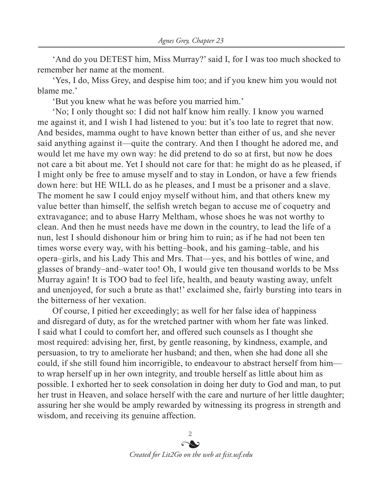'And do you DETEST him, Miss Murray?' said I, for I was too much shocked to remember her name at the moment.

'Yes, I do, Miss Grey, and despise him too; and if you knew him you would not blame me.'

'But you knew what he was before you married him.'

'No; I only thought so: I did not half know him really. I know you warned me against it, and I wish I had listened to you: but it's too late to regret that now. And besides, mamma ought to have known better than either of us, and she never said anything against it—quite the contrary. And then I thought he adored me, and would let me have my own way: he did pretend to do so at first, but now he does not care a bit about me. Yet I should not care for that: he might do as he pleased, if I might only be free to amuse myself and to stay in London, or have a few friends down here: but HE WILL do as he pleases, and I must be a prisoner and a slave. The moment he saw I could enjoy myself without him, and that others knew my value better than himself, the selfish wretch began to accuse me of coquetry and extravagance; and to abuse Harry Meltham, whose shoes he was not worthy to clean. And then he must needs have me down in the country, to lead the life of a nun, lest I should dishonour him or bring him to ruin; as if he had not been ten times worse every way, with his betting–book, and his gaming–table, and his opera–girls, and his Lady This and Mrs. That—yes, and his bottles of wine, and glasses of brandy–and–water too! Oh, I would give ten thousand worlds to be Mss Murray again! It is TOO bad to feel life, health, and beauty wasting away, unfelt and unenjoyed, for such a brute as that!' exclaimed she, fairly bursting into tears in the bitterness of her vexation.

Of course, I pitied her exceedingly; as well for her false idea of happiness and disregard of duty, as for the wretched partner with whom her fate was linked. I said what I could to comfort her, and offered such counsels as I thought she most required: advising her, first, by gentle reasoning, by kindness, example, and persuasion, to try to ameliorate her husband; and then, when she had done all she could, if she still found him incorrigible, to endeavour to abstract herself from him to wrap herself up in her own integrity, and trouble herself as little about him as possible. I exhorted her to seek consolation in doing her duty to God and man, to put her trust in Heaven, and solace herself with the care and nurture of her little daughter; assuring her she would be amply rewarded by witnessing its progress in strength and wisdom, and receiving its genuine affection.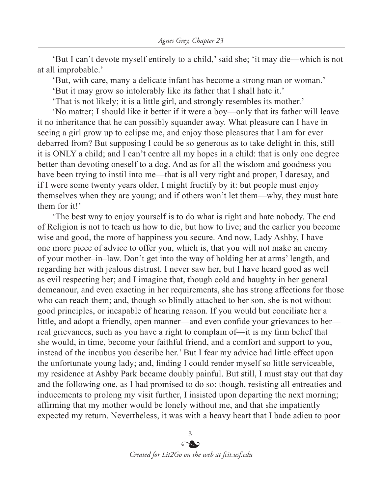'But I can't devote myself entirely to a child,' said she; 'it may die—which is not at all improbable.'

'But, with care, many a delicate infant has become a strong man or woman.'

'But it may grow so intolerably like its father that I shall hate it.'

'That is not likely; it is a little girl, and strongly resembles its mother.'

'No matter; I should like it better if it were a boy—only that its father will leave it no inheritance that he can possibly squander away. What pleasure can I have in seeing a girl grow up to eclipse me, and enjoy those pleasures that I am for ever debarred from? But supposing I could be so generous as to take delight in this, still it is ONLY a child; and I can't centre all my hopes in a child: that is only one degree better than devoting oneself to a dog. And as for all the wisdom and goodness you have been trying to instil into me—that is all very right and proper, I daresay, and if I were some twenty years older, I might fructify by it: but people must enjoy themselves when they are young; and if others won't let them—why, they must hate them for it!'

'The best way to enjoy yourself is to do what is right and hate nobody. The end of Religion is not to teach us how to die, but how to live; and the earlier you become wise and good, the more of happiness you secure. And now, Lady Ashby, I have one more piece of advice to offer you, which is, that you will not make an enemy of your mother–in–law. Don't get into the way of holding her at arms' length, and regarding her with jealous distrust. I never saw her, but I have heard good as well as evil respecting her; and I imagine that, though cold and haughty in her general demeanour, and even exacting in her requirements, she has strong affections for those who can reach them; and, though so blindly attached to her son, she is not without good principles, or incapable of hearing reason. If you would but conciliate her a little, and adopt a friendly, open manner—and even confide your grievances to her real grievances, such as you have a right to complain of—it is my firm belief that she would, in time, become your faithful friend, and a comfort and support to you, instead of the incubus you describe her.' But I fear my advice had little effect upon the unfortunate young lady; and, finding I could render myself so little serviceable, my residence at Ashby Park became doubly painful. But still, I must stay out that day and the following one, as I had promised to do so: though, resisting all entreaties and inducements to prolong my visit further, I insisted upon departing the next morning; affirming that my mother would be lonely without me, and that she impatiently expected my return. Nevertheless, it was with a heavy heart that I bade adieu to poor